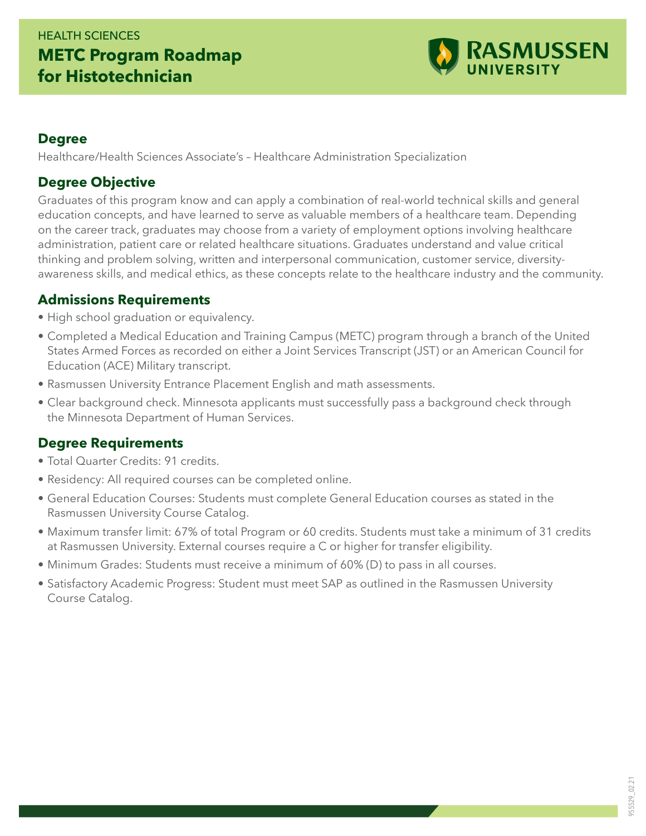# HEALTH SCIENCES **METC Program Roadmap for Histotechnician**



#### **Degree**

Healthcare/Health Sciences Associate's – Healthcare Administration Specialization

#### **Degree Objective**

Graduates of this program know and can apply a combination of real-world technical skills and general education concepts, and have learned to serve as valuable members of a healthcare team. Depending on the career track, graduates may choose from a variety of employment options involving healthcare administration, patient care or related healthcare situations. Graduates understand and value critical thinking and problem solving, written and interpersonal communication, customer service, diversityawareness skills, and medical ethics, as these concepts relate to the healthcare industry and the community.

#### **Admissions Requirements**

- High school graduation or equivalency.
- Completed a Medical Education and Training Campus (METC) program through a branch of the United States Armed Forces as recorded on either a Joint Services Transcript (JST) or an American Council for Education (ACE) Military transcript.
- Rasmussen University Entrance Placement English and math assessments.
- Clear background check. Minnesota applicants must successfully pass a background check through the Minnesota Department of Human Services.

### **Degree Requirements**

- Total Quarter Credits: 91 credits.
- Residency: All required courses can be completed online.
- General Education Courses: Students must complete General Education courses as stated in the Rasmussen University Course Catalog.
- Maximum transfer limit: 67% of total Program or 60 credits. Students must take a minimum of 31 credits at Rasmussen University. External courses require a C or higher for transfer eligibility.
- Minimum Grades: Students must receive a minimum of 60% (D) to pass in all courses.
- Satisfactory Academic Progress: Student must meet SAP as outlined in the Rasmussen University Course Catalog.